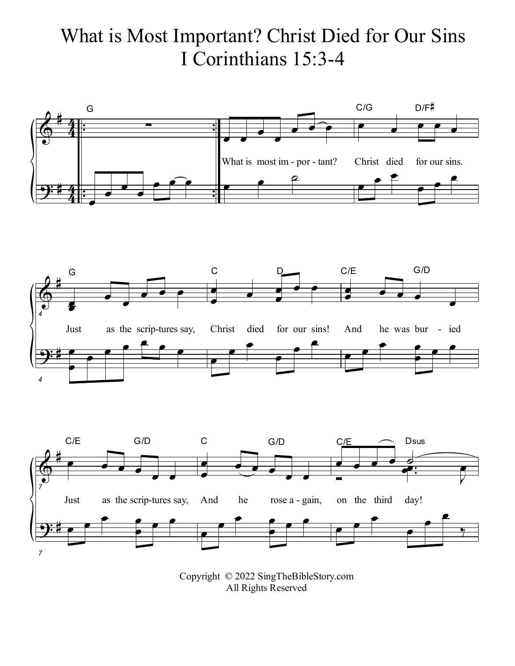## What is Most Important? Christ Died for Our Sins I Corinthians 15:3-4







Copyright © 2022 SingTheBibleStory.com All Rights Reserved